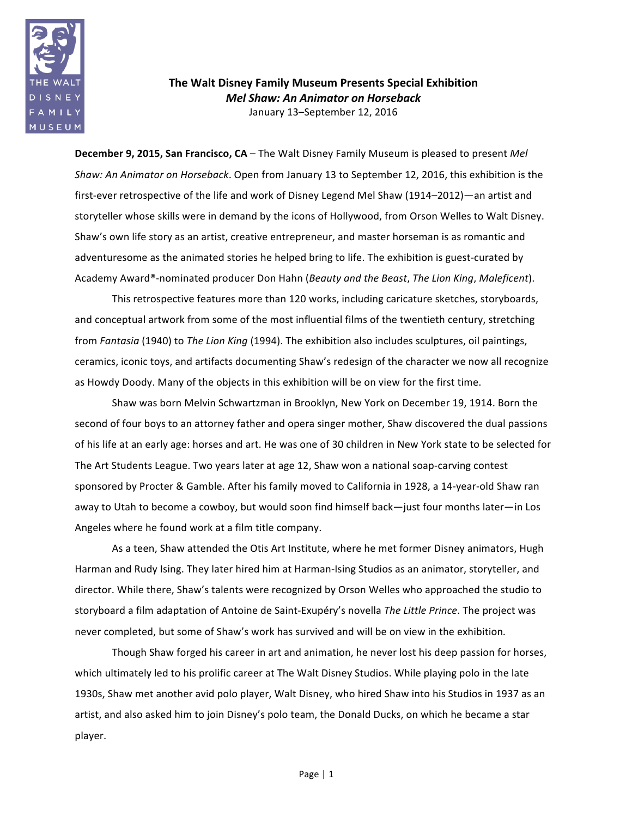

**The Walt Disney Family Museum Presents Special Exhibition** *Mel Shaw: An Animator on Horseback* January 13–September 12, 2016

**December 9, 2015, San Francisco, CA** – The Walt Disney Family Museum is pleased to present *Mel Shaw: An Animator on Horseback*. Open from January 13 to September 12, 2016, this exhibition is the first-ever retrospective of the life and work of Disney Legend Mel Shaw (1914–2012)—an artist and storyteller whose skills were in demand by the icons of Hollywood, from Orson Welles to Walt Disney. Shaw's own life story as an artist, creative entrepreneur, and master horseman is as romantic and adventuresome as the animated stories he helped bring to life. The exhibition is guest-curated by Academy Award®-nominated producer Don Hahn (*Beauty and the Beast*, *The Lion King*, *Maleficent*). 

This retrospective features more than 120 works, including caricature sketches, storyboards, and conceptual artwork from some of the most influential films of the twentieth century, stretching from *Fantasia* (1940) to *The Lion King* (1994). The exhibition also includes sculptures, oil paintings, ceramics, iconic toys, and artifacts documenting Shaw's redesign of the character we now all recognize as Howdy Doody. Many of the objects in this exhibition will be on view for the first time.

Shaw was born Melvin Schwartzman in Brooklyn, New York on December 19, 1914. Born the second of four boys to an attorney father and opera singer mother, Shaw discovered the dual passions of his life at an early age: horses and art. He was one of 30 children in New York state to be selected for The Art Students League. Two years later at age 12, Shaw won a national soap-carving contest sponsored by Procter & Gamble. After his family moved to California in 1928, a 14-year-old Shaw ran away to Utah to become a cowboy, but would soon find himself back—just four months later—in Los Angeles where he found work at a film title company.

As a teen, Shaw attended the Otis Art Institute, where he met former Disney animators, Hugh Harman and Rudy Ising. They later hired him at Harman-Ising Studios as an animator, storyteller, and director. While there, Shaw's talents were recognized by Orson Welles who approached the studio to storyboard a film adaptation of Antoine de Saint-Exupéry's novella *The Little Prince*. The project was never completed, but some of Shaw's work has survived and will be on view in the exhibition*.*

Though Shaw forged his career in art and animation, he never lost his deep passion for horses, which ultimately led to his prolific career at The Walt Disney Studios. While playing polo in the late 1930s, Shaw met another avid polo player, Walt Disney, who hired Shaw into his Studios in 1937 as an artist, and also asked him to join Disney's polo team, the Donald Ducks, on which he became a star player.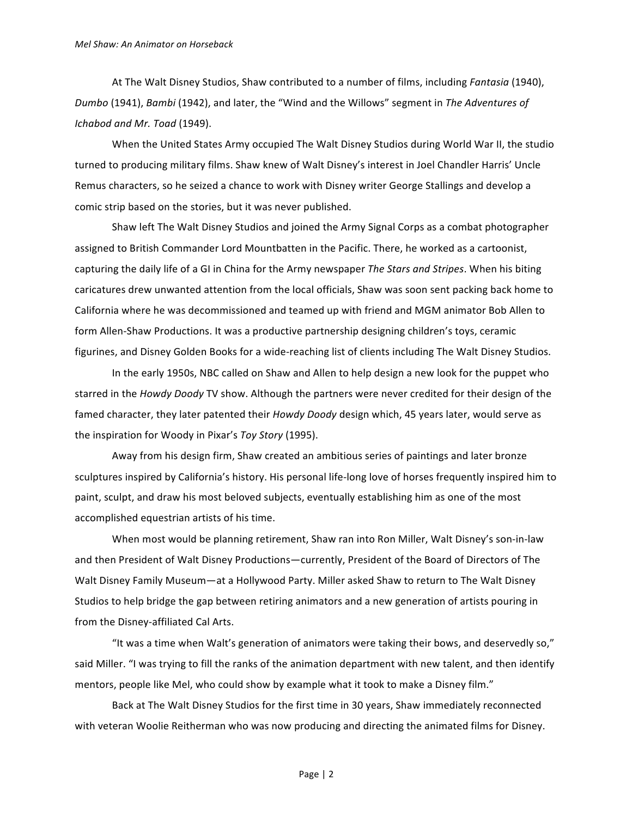At The Walt Disney Studios, Shaw contributed to a number of films, including *Fantasia* (1940), *Dumbo* (1941), *Bambi* (1942), and later, the "Wind and the Willows" segment in *The Adventures of Ichabod and Mr. Toad* (1949).

When the United States Army occupied The Walt Disney Studios during World War II, the studio turned to producing military films. Shaw knew of Walt Disney's interest in Joel Chandler Harris' Uncle Remus characters, so he seized a chance to work with Disney writer George Stallings and develop a comic strip based on the stories, but it was never published.

Shaw left The Walt Disney Studios and joined the Army Signal Corps as a combat photographer assigned to British Commander Lord Mountbatten in the Pacific. There, he worked as a cartoonist, capturing the daily life of a GI in China for the Army newspaper *The Stars and Stripes*. When his biting caricatures drew unwanted attention from the local officials, Shaw was soon sent packing back home to California where he was decommissioned and teamed up with friend and MGM animator Bob Allen to form Allen-Shaw Productions. It was a productive partnership designing children's toys, ceramic figurines, and Disney Golden Books for a wide-reaching list of clients including The Walt Disney Studios.

In the early 1950s, NBC called on Shaw and Allen to help design a new look for the puppet who starred in the *Howdy Doody* TV show. Although the partners were never credited for their design of the famed character, they later patented their *Howdy Doody* design which, 45 years later, would serve as the inspiration for Woody in Pixar's *Toy Story* (1995).

Away from his design firm, Shaw created an ambitious series of paintings and later bronze sculptures inspired by California's history. His personal life-long love of horses frequently inspired him to paint, sculpt, and draw his most beloved subjects, eventually establishing him as one of the most accomplished equestrian artists of his time.

When most would be planning retirement, Shaw ran into Ron Miller, Walt Disney's son-in-law and then President of Walt Disney Productions—currently, President of the Board of Directors of The Walt Disney Family Museum—at a Hollywood Party. Miller asked Shaw to return to The Walt Disney Studios to help bridge the gap between retiring animators and a new generation of artists pouring in from the Disney-affiliated Cal Arts.

"It was a time when Walt's generation of animators were taking their bows, and deservedly so," said Miller. "I was trying to fill the ranks of the animation department with new talent, and then identify mentors, people like Mel, who could show by example what it took to make a Disney film."

Back at The Walt Disney Studios for the first time in 30 years, Shaw immediately reconnected with veteran Woolie Reitherman who was now producing and directing the animated films for Disney.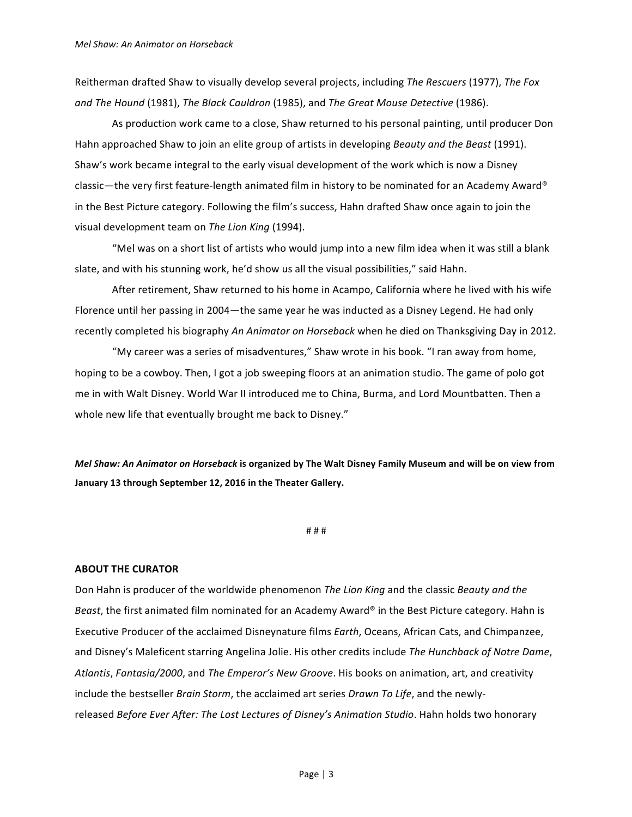Reitherman drafted Shaw to visually develop several projects, including *The Rescuers* (1977), *The Fox and The Hound* (1981), *The Black Cauldron* (1985), and *The Great Mouse Detective* (1986).

As production work came to a close, Shaw returned to his personal painting, until producer Don Hahn approached Shaw to join an elite group of artists in developing *Beauty and the Beast* (1991). Shaw's work became integral to the early visual development of the work which is now a Disney classic—the very first feature-length animated film in history to be nominated for an Academy Award® in the Best Picture category. Following the film's success, Hahn drafted Shaw once again to join the visual development team on *The Lion King* (1994).

"Mel was on a short list of artists who would jump into a new film idea when it was still a blank slate, and with his stunning work, he'd show us all the visual possibilities," said Hahn.

After retirement, Shaw returned to his home in Acampo, California where he lived with his wife Florence until her passing in 2004—the same year he was inducted as a Disney Legend. He had only recently completed his biography *An Animator on Horseback* when he died on Thanksgiving Day in 2012.

"My career was a series of misadventures," Shaw wrote in his book. "I ran away from home, hoping to be a cowboy. Then, I got a job sweeping floors at an animation studio. The game of polo got me in with Walt Disney. World War II introduced me to China, Burma, and Lord Mountbatten. Then a whole new life that eventually brought me back to Disney."

Mel Shaw: An Animator on Horseback is organized by The Walt Disney Family Museum and will be on view from **January 13 through September 12, 2016 in the Theater Gallery.**

#### # # #

#### **ABOUT THE CURATOR**

Don Hahn is producer of the worldwide phenomenon *The Lion King* and the classic *Beauty and the Beast*, the first animated film nominated for an Academy Award® in the Best Picture category. Hahn is Executive Producer of the acclaimed Disneynature films *Earth*, Oceans, African Cats, and Chimpanzee, and Disney's Maleficent starring Angelina Jolie. His other credits include *The Hunchback of Notre Dame*, *Atlantis*, *Fantasia/2000*, and *The Emperor's New Groove*. His books on animation, art, and creativity include the bestseller *Brain Storm*, the acclaimed art series *Drawn To Life*, and the newlyreleased *Before Ever After: The Lost Lectures of Disney's Animation Studio*. Hahn holds two honorary